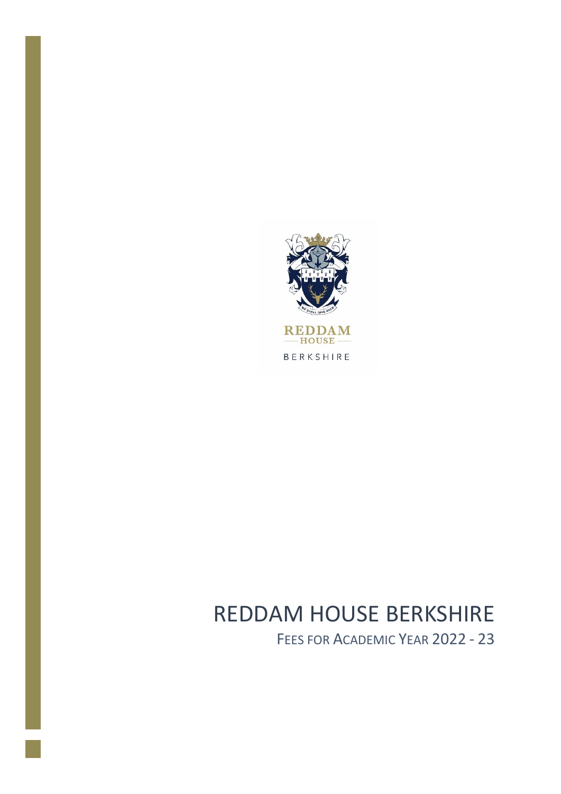

## REDDAM HOUSE BERKSHIRE

FEES FOR ACADEMIC YEAR 2022 - 23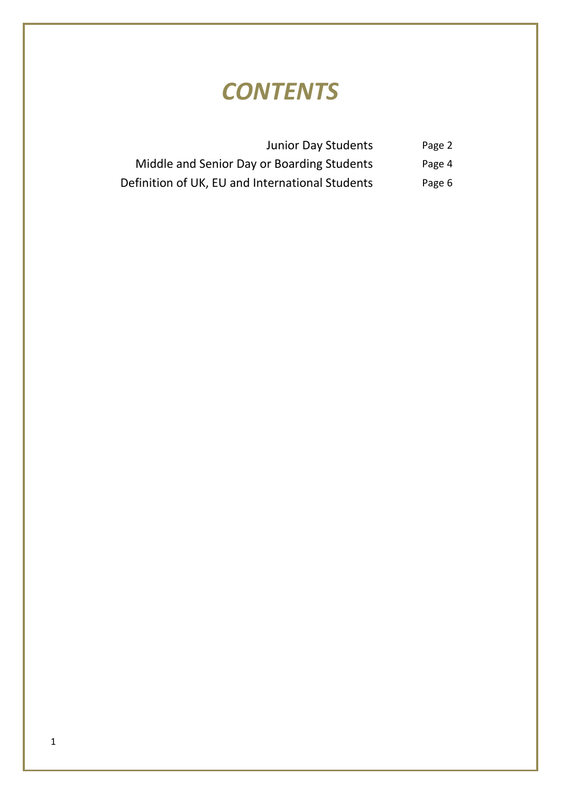## *CONTENTS*

| <b>Junior Day Students</b>                      | Page 2 |
|-------------------------------------------------|--------|
| Middle and Senior Day or Boarding Students      | Page 4 |
| Definition of UK, EU and International Students | Page 6 |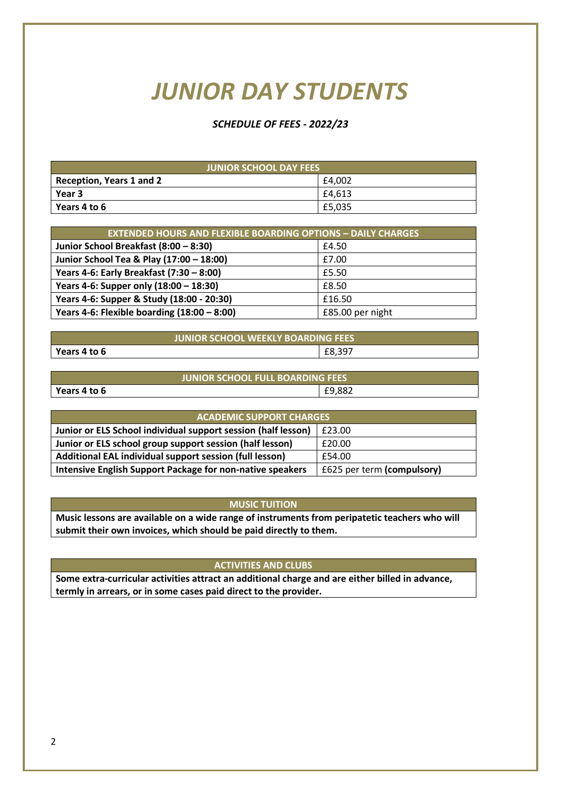## *JUNIOR DAY STUDENTS*

#### *SCHEDULE OF FEES - 2022/23*

| <b>JUNIOR SCHOOL DAY FEES</b>   |        |  |
|---------------------------------|--------|--|
| <b>Reception, Years 1 and 2</b> | £4.002 |  |
| Year 3                          | £4.613 |  |
| Years 4 to 6                    | £5,035 |  |

| <b>EXTENDED HOURS AND FLEXIBLE BOARDING OPTIONS - DAILY CHARGES</b> |                  |
|---------------------------------------------------------------------|------------------|
| Junior School Breakfast (8:00 - 8:30)                               | £4.50            |
| Junior School Tea & Play (17:00 - 18:00)                            | £7.00            |
| Years 4-6: Early Breakfast (7:30 - 8:00)                            | £5.50            |
| Years 4-6: Supper only (18:00 - 18:30)                              | £8.50            |
| Years 4-6: Supper & Study (18:00 - 20:30)                           | £16.50           |
| Years 4-6: Flexible boarding $(18:00 - 8:00)$                       | £85.00 per night |

| <b>JUNIOR SCHOOL WEEKLY BOARDING FEES</b> |        |
|-------------------------------------------|--------|
| Years 4 to 6                              | £8.397 |
|                                           |        |

| <b>JUNIOR SCHOOL FULL BOARDING FEES</b> |        |
|-----------------------------------------|--------|
| Years 4 to 6                            | £9.882 |

| <b>ACADEMIC SUPPORT CHARGES</b>                               |                            |
|---------------------------------------------------------------|----------------------------|
| Junior or ELS School individual support session (half lesson) | £23.00                     |
| Junior or ELS school group support session (half lesson)      | £20.00                     |
| Additional EAL individual support session (full lesson)       | £54.00                     |
| Intensive English Support Package for non-native speakers     | £625 per term (compulsory) |

#### **MUSIC TUITION**

**Music lessons are available on a wide range of instruments from peripatetic teachers who will submit their own invoices, which should be paid directly to them.**

#### **ACTIVITIES AND CLUBS**

**Some extra-curricular activities attract an additional charge and are either billed in advance, termly in arrears, or in some cases paid direct to the provider.**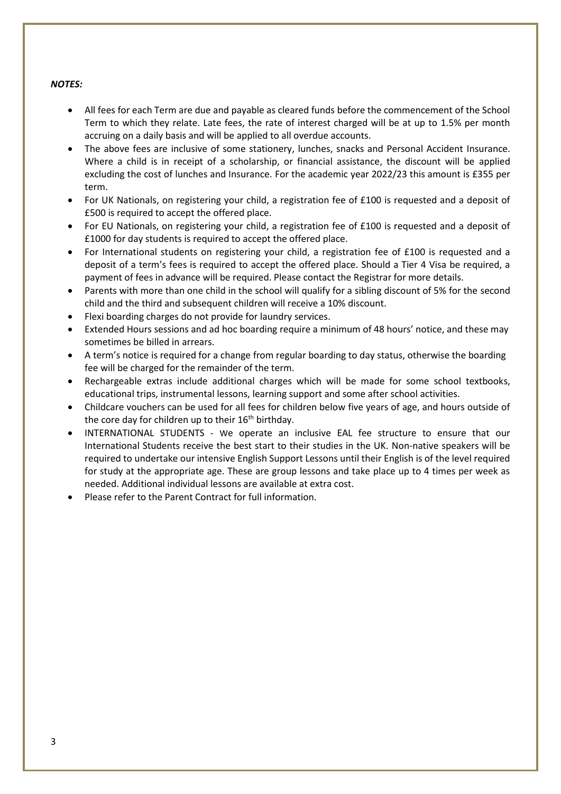#### *NOTES:*

- All fees for each Term are due and payable as cleared funds before the commencement of the School Term to which they relate. Late fees, the rate of interest charged will be at up to 1.5% per month accruing on a daily basis and will be applied to all overdue accounts.
- The above fees are inclusive of some stationery, lunches, snacks and Personal Accident Insurance. Where a child is in receipt of a scholarship, or financial assistance, the discount will be applied excluding the cost of lunches and Insurance. For the academic year 2022/23 this amount is £355 per term.
- For UK Nationals, on registering your child, a registration fee of £100 is requested and a deposit of £500 is required to accept the offered place.
- For EU Nationals, on registering your child, a registration fee of £100 is requested and a deposit of £1000 for day students is required to accept the offered place.
- For International students on registering your child, a registration fee of £100 is requested and a deposit of a term's fees is required to accept the offered place. Should a Tier 4 Visa be required, a payment of fees in advance will be required. Please contact the Registrar for more details.
- Parents with more than one child in the school will qualify for a sibling discount of 5% for the second child and the third and subsequent children will receive a 10% discount.
- Flexi boarding charges do not provide for laundry services.
- Extended Hours sessions and ad hoc boarding require a minimum of 48 hours' notice, and these may sometimes be billed in arrears.
- A term's notice is required for a change from regular boarding to day status, otherwise the boarding fee will be charged for the remainder of the term.
- Rechargeable extras include additional charges which will be made for some school textbooks, educational trips, instrumental lessons, learning support and some after school activities.
- Childcare vouchers can be used for all fees for children below five years of age, and hours outside of the core day for children up to their  $16<sup>th</sup>$  birthday.
- INTERNATIONAL STUDENTS We operate an inclusive EAL fee structure to ensure that our International Students receive the best start to their studies in the UK. Non-native speakers will be required to undertake our intensive English Support Lessons until their English is of the level required for study at the appropriate age. These are group lessons and take place up to 4 times per week as needed. Additional individual lessons are available at extra cost.
- Please refer to the Parent Contract for full information.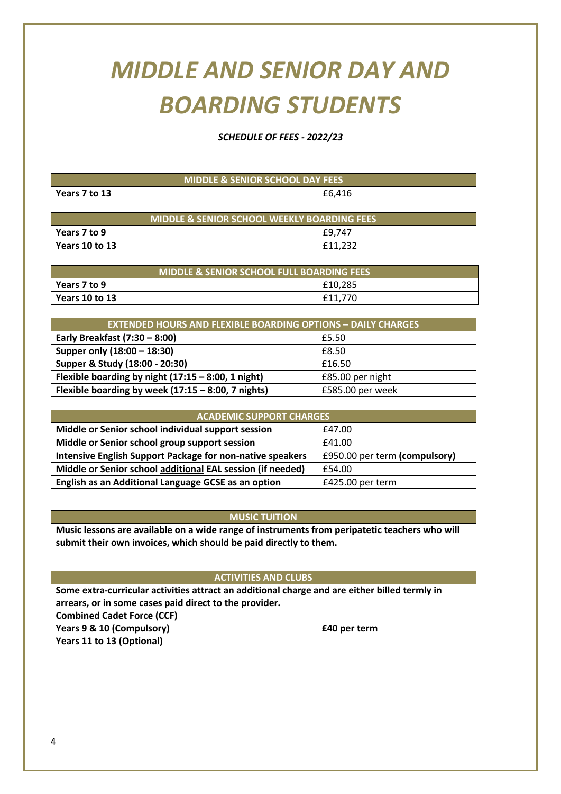# *MIDDLE AND SENIOR DAY AND BOARDING STUDENTS*

#### *SCHEDULE OF FEES - 2022/23*

| MIDDLE & SENIOR SCHOOL DAY FEES |        |
|---------------------------------|--------|
| Years 7 to 13                   | £6,416 |
|                                 |        |

| MIDDLE & SENIOR SCHOOL WEEKLY BOARDING FEES |         |
|---------------------------------------------|---------|
| Years 7 to 9                                | £9.747  |
| Years 10 to 13                              | £11.232 |

| <b>MIDDLE &amp; SENIOR SCHOOL FULL BOARDING FEES</b> |         |
|------------------------------------------------------|---------|
| Years 7 to 9                                         | £10,285 |
| Years 10 to 13                                       | £11.770 |

| <b>EXTENDED HOURS AND FLEXIBLE BOARDING OPTIONS - DAILY CHARGES</b> |                  |
|---------------------------------------------------------------------|------------------|
| Early Breakfast $(7:30 - 8:00)$                                     | £5.50            |
| Supper only (18:00 - 18:30)                                         | £8.50            |
| Supper & Study (18:00 - 20:30)                                      | £16.50           |
| Flexible boarding by night $(17:15 - 8:00, 1$ night)                | £85.00 per night |
| Flexible boarding by week (17:15 - 8:00, 7 nights)                  | £585.00 per week |

| <b>ACADEMIC SUPPORT CHARGES</b>                                  |                               |
|------------------------------------------------------------------|-------------------------------|
| Middle or Senior school individual support session               | £47.00                        |
| Middle or Senior school group support session                    | £41.00                        |
| <b>Intensive English Support Package for non-native speakers</b> | £950.00 per term (compulsory) |
| Middle or Senior school additional EAL session (if needed)       | £54.00                        |
| English as an Additional Language GCSE as an option              | £425.00 per term              |

#### **MUSIC TUITION**

**Music lessons are available on a wide range of instruments from peripatetic teachers who will submit their own invoices, which should be paid directly to them.**

#### **ACTIVITIES AND CLUBS**

**Some extra-curricular activities attract an additional charge and are either billed termly in arrears, or in some cases paid direct to the provider. Combined Cadet Force (CCF) Years 9 & 10 (Compulsory) Years 11 to 13 (Optional) £40 per term**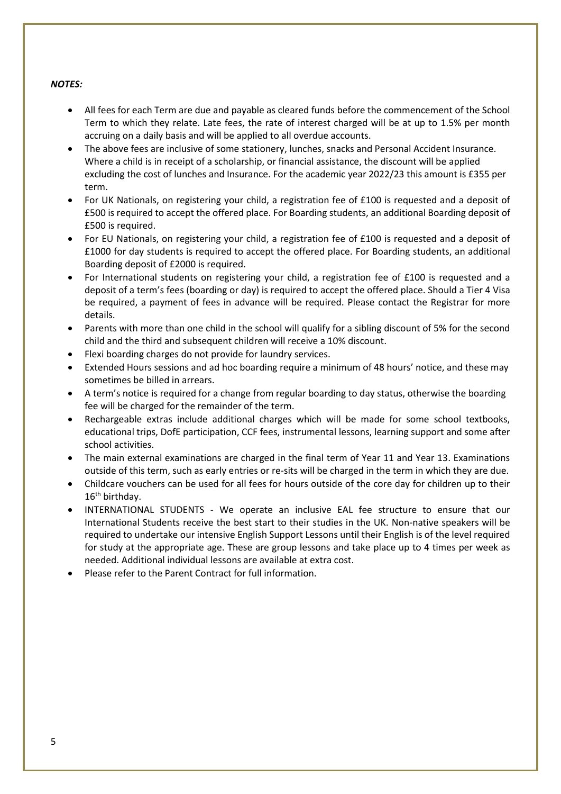#### *NOTES:*

- All fees for each Term are due and payable as cleared funds before the commencement of the School Term to which they relate. Late fees, the rate of interest charged will be at up to 1.5% per month accruing on a daily basis and will be applied to all overdue accounts.
- The above fees are inclusive of some stationery, lunches, snacks and Personal Accident Insurance. Where a child is in receipt of a scholarship, or financial assistance, the discount will be applied excluding the cost of lunches and Insurance. For the academic year 2022/23 this amount is £355 per term.
- For UK Nationals, on registering your child, a registration fee of £100 is requested and a deposit of £500 is required to accept the offered place. For Boarding students, an additional Boarding deposit of £500 is required.
- For EU Nationals, on registering your child, a registration fee of £100 is requested and a deposit of £1000 for day students is required to accept the offered place. For Boarding students, an additional Boarding deposit of £2000 is required.
- For International students on registering your child, a registration fee of £100 is requested and a deposit of a term's fees (boarding or day) is required to accept the offered place. Should a Tier 4 Visa be required, a payment of fees in advance will be required. Please contact the Registrar for more details.
- Parents with more than one child in the school will qualify for a sibling discount of 5% for the second child and the third and subsequent children will receive a 10% discount.
- Flexi boarding charges do not provide for laundry services.
- Extended Hours sessions and ad hoc boarding require a minimum of 48 hours' notice, and these may sometimes be billed in arrears.
- A term's notice is required for a change from regular boarding to day status, otherwise the boarding fee will be charged for the remainder of the term.
- Rechargeable extras include additional charges which will be made for some school textbooks, educational trips, DofE participation, CCF fees, instrumental lessons, learning support and some after school activities.
- The main external examinations are charged in the final term of Year 11 and Year 13. Examinations outside of this term, such as early entries or re-sits will be charged in the term in which they are due.
- Childcare vouchers can be used for all fees for hours outside of the core day for children up to their 16<sup>th</sup> birthday.
- INTERNATIONAL STUDENTS We operate an inclusive EAL fee structure to ensure that our International Students receive the best start to their studies in the UK. Non-native speakers will be required to undertake our intensive English Support Lessons until their English is of the level required for study at the appropriate age. These are group lessons and take place up to 4 times per week as needed. Additional individual lessons are available at extra cost.
- Please refer to the Parent Contract for full information.